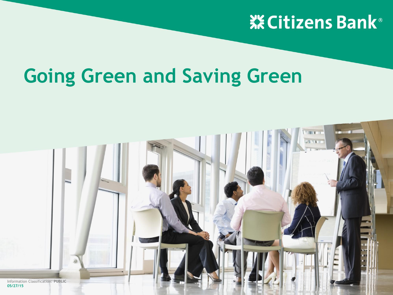### **※Citizens Bank**®

## **Going Green and Saving Green**

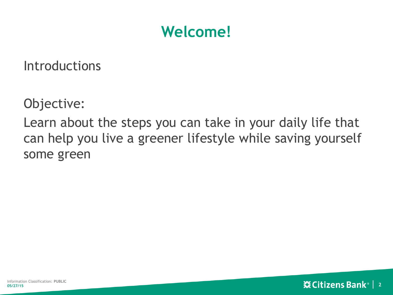#### **Welcome!**

**Introductions** 

Objective:

Learn about the steps you can take in your daily life that can help you live a greener lifestyle while saving yourself some green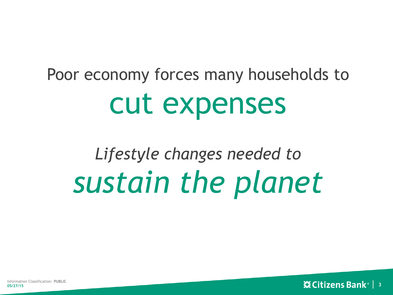# Poor economy forces many households to cut expenses

# *Lifestyle changes needed to sustain the planet*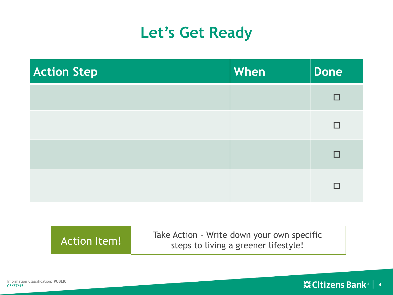#### **Let's Get Ready**

| <b>Action Step</b> | When | Done |
|--------------------|------|------|
|                    |      |      |
|                    |      |      |
|                    |      | П    |
|                    |      |      |

| Take Action - Write down your own specific<br>steps to living a greener lifestyle! | Action Item! |
|------------------------------------------------------------------------------------|--------------|
|------------------------------------------------------------------------------------|--------------|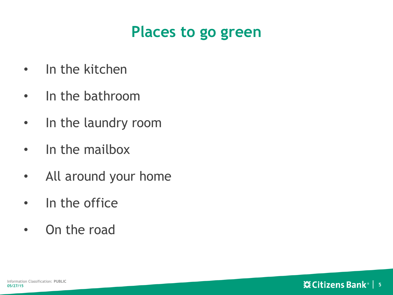#### **Places to go green**

- In the kitchen
- In the bathroom
- In the laundry room
- In the mailbox
- All around your home
- In the office
- On the road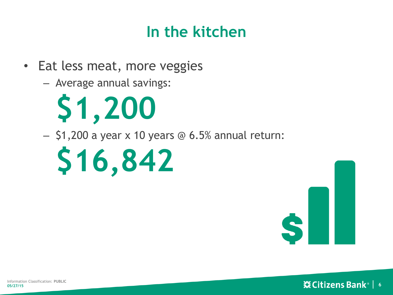#### **In the kitchen**

- Eat less meat, more veggies
	- Average annual savings:

**\$1,200**

– \$1,200 a year x 10 years @ 6.5% annual return:

**\$16,842** 

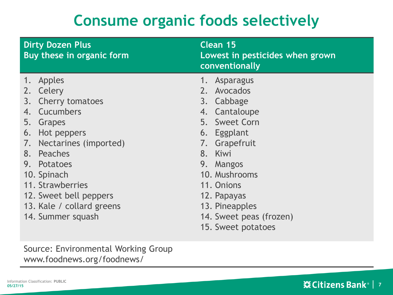#### **Consume organic foods selectively**

| <b>Dirty Dozen Plus</b><br><b>Buy these in organic form</b>                                                                                                                                                                                                         | Clean 15<br>Lowest in pesticides when grown<br>conventionally                                                                                                                                                                                        |
|---------------------------------------------------------------------------------------------------------------------------------------------------------------------------------------------------------------------------------------------------------------------|------------------------------------------------------------------------------------------------------------------------------------------------------------------------------------------------------------------------------------------------------|
| 1. Apples<br>2. Celery<br>3. Cherry tomatoes<br>4. Cucumbers<br>5. Grapes<br>6. Hot peppers<br>7. Nectarines (imported)<br>8. Peaches<br>9. Potatoes<br>10. Spinach<br>11. Strawberries<br>12. Sweet bell peppers<br>13. Kale / collard greens<br>14. Summer squash | 1. Asparagus<br>2. Avocados<br>3. Cabbage<br>4. Cantaloupe<br>5. Sweet Corn<br>6. Eggplant<br>7. Grapefruit<br>8. Kiwi<br>9. Mangos<br>10. Mushrooms<br>11. Onions<br>12. Papayas<br>13. Pineapples<br>14. Sweet peas (frozen)<br>15. Sweet potatoes |

Source: Environmental Working Group www.foodnews.org/foodnews/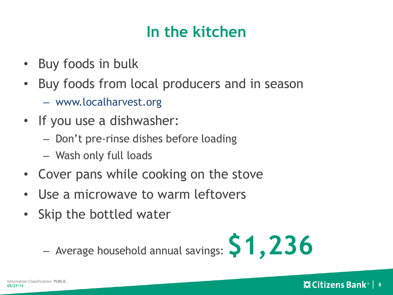#### **In the kitchen**

- Buy foods in bulk
- Buy foods from local producers and in season
	- www.localharvest.org
- If you use a dishwasher:
	- Don't pre-rinse dishes before loading
	- Wash only full loads
- Cover pans while cooking on the stove
- Use a microwave to warm leftovers
- Skip the bottled water
	- Average household annual savings: **\$1,236**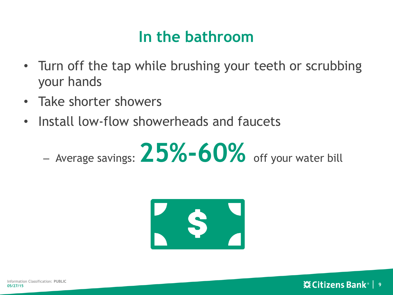#### **In the bathroom**

- Turn off the tap while brushing your teeth or scrubbing your hands
- Take shorter showers
- Install low-flow showerheads and faucets
	- Average savings: **25%-60%** off your water bill

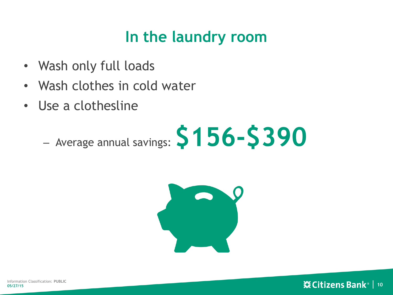#### **In the laundry room**

- Wash only full loads
- Wash clothes in cold water
- Use a clothesline



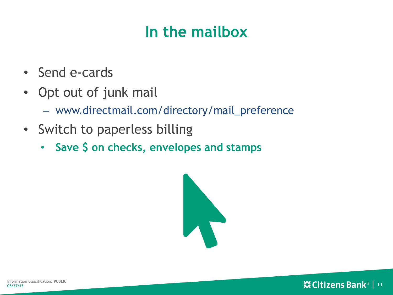#### **In the mailbox**

- Send e-cards
- Opt out of junk mail
	- www.directmail.com/directory/mail\_preference
- Switch to paperless billing
	- **Save \$ on checks, envelopes and stamps**

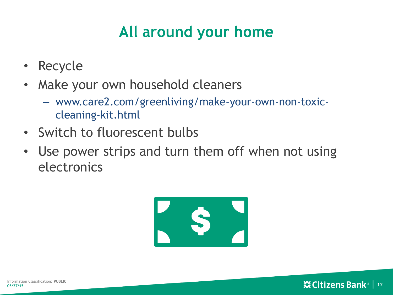### **All around your home**

- Recycle
- Make your own household cleaners
	- www.care2.com/greenliving/make-your-own-non-toxiccleaning-kit.html
- Switch to fluorescent bulbs
- Use power strips and turn them off when not using electronics

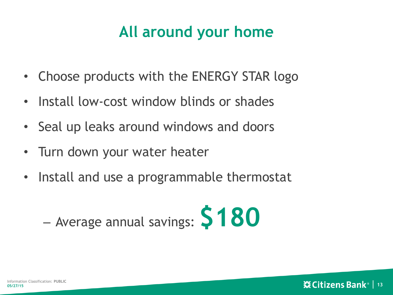#### **All around your home**

- Choose products with the ENERGY STAR logo
- Install low-cost window blinds or shades
- Seal up leaks around windows and doors
- Turn down your water heater
- Install and use a programmable thermostat

– Average annual savings: **\$180**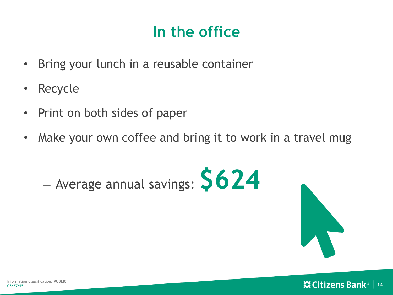#### **In the office**

- Bring your lunch in a reusable container
- Recycle
- Print on both sides of paper
- Make your own coffee and bring it to work in a travel mug



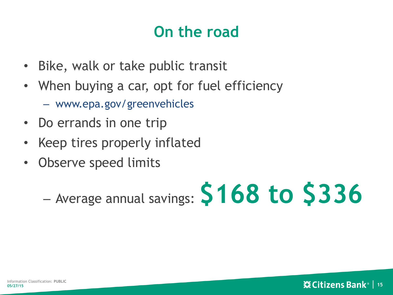#### **On the road**

- Bike, walk or take public transit
- When buying a car, opt for fuel efficiency
	- www.epa.gov/greenvehicles
- Do errands in one trip
- Keep tires properly inflated
- Observe speed limits

– Average annual savings: **\$168 to \$336**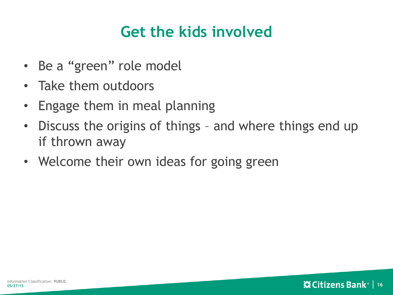#### **Get the kids involved**

- Be a "green" role model
- Take them outdoors
- Engage them in meal planning
- Discuss the origins of things and where things end up if thrown away
- Welcome their own ideas for going green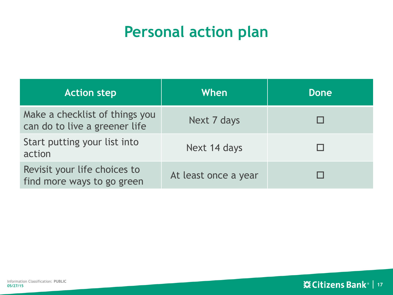#### **Personal action plan**

| <b>Action step</b>                                              | When                 | Done |
|-----------------------------------------------------------------|----------------------|------|
| Make a checklist of things you<br>can do to live a greener life | Next 7 days          |      |
| Start putting your list into<br>action                          | Next 14 days         |      |
| Revisit your life choices to<br>find more ways to go green      | At least once a year |      |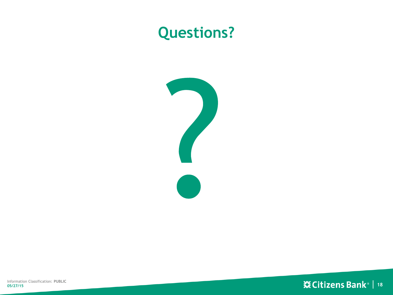#### **Questions?**